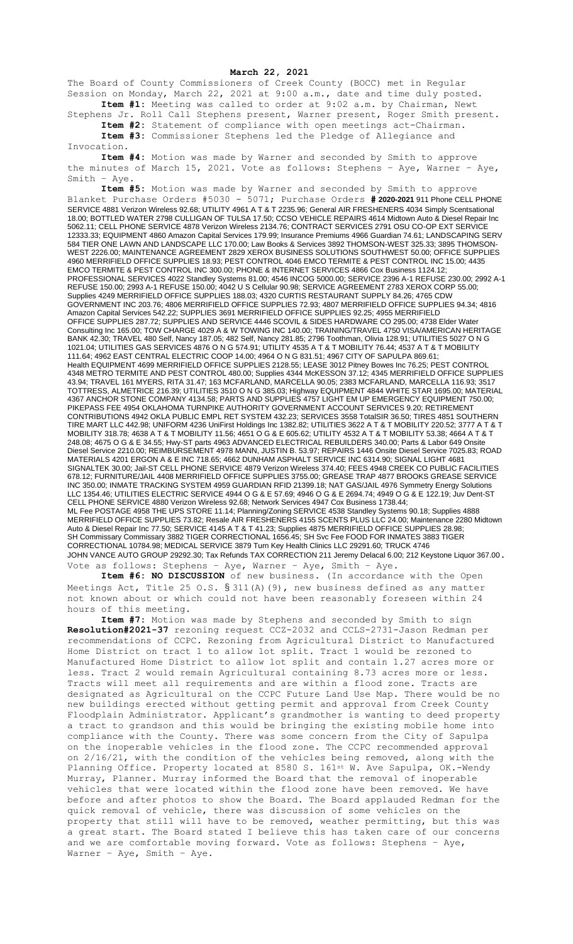## **March 22, 2021**

The Board of County Commissioners of Creek County (BOCC) met in Regular Session on Monday, March 22, 2021 at 9:00 a.m., date and time duly posted. **Item #1:** Meeting was called to order at 9:02 a.m. by Chairman, Newt

Stephens Jr. Roll Call Stephens present, Warner present, Roger Smith present. **Item #2:** Statement of compliance with open meetings act-Chairman.

**Item #3:** Commissioner Stephens led the Pledge of Allegiance and Invocation.

**Item #4:** Motion was made by Warner and seconded by Smith to approve the minutes of March 15, 2021. Vote as follows: Stephens – Aye, Warner – Aye, Smith – Aye.

**Item #5:** Motion was made by Warner and seconded by Smith to approve Blanket Purchase Orders #5030 - 5071; Purchase Orders **# 2020-2021** 911 Phone CELL PHONE SERVICE 4881 Verizon Wireless 92.68; UTILITY 4961 A T & T 2235.96; General AIR FRESHENERS 4034 Simply Scentsational 18.00; BOTTLED WATER 2798 CULLIGAN OF TULSA 17.50; CCSO VEHICLE REPAIRS 4614 Midtown Auto & Diesel Repair Inc 5062.11; CELL PHONE SERVICE 4878 Verizon Wireless 2134.76; CONTRACT SERVICES 2791 OSU CO-OP EXT SERVICE 12333.33; EQUIPMENT 4860 Amazon Capital Services 179.99; Insurance Premiums 4966 Guardian 74.61; LANDSCAPING SERV 584 TIER ONE LAWN AND LANDSCAPE LLC 170.00; Law Books & Services 3892 THOMSON-WEST 325.33; 3895 THOMSON-WEST 2226.00; MAINTENANCE AGREEMENT 2829 XEROX BUSINESS SOLUTIONS SOUTHWEST 50.00; OFFICE SUPPLIES 4960 MERRIFIELD OFFICE SUPPLIES 18.93; PEST CONTROL 4046 EMCO TERMITE & PEST CONTROL INC 15.00; 4435 EMCO TERMITE & PEST CONTROL INC 300.00; PHONE & INTERNET SERVICES 4866 Cox Business 1124.12; PROFESSIONAL SERVICES 4022 Standley Systems 81.00; 4546 INCOG 5000.00; SERVICE 2396 A-1 REFUSE 230.00; 2992 A-1 REFUSE 150.00; 2993 A-1 REFUSE 150.00; 4042 U S Cellular 90.98; SERVICE AGREEMENT 2783 XEROX CORP 55.00; Supplies 4249 MERRIFIELD OFFICE SUPPLIES 188.03; 4320 CURTIS RESTAURANT SUPPLY 84.26; 4765 CDW GOVERNMENT INC 203.76; 4806 MERRIFIELD OFFICE SUPPLIES 72.93; 4807 MERRIFIELD OFFICE SUPPLIES 94.34; 4816 Amazon Capital Services 542.22; SUPPLIES 3691 MERRIFIELD OFFICE SUPPLIES 92.25; 4955 MERRIFIELD OFFICE SUPPLIES 287.72; SUPPLIES AND SERVICE 4446 SCOVIL & SIDES HARDWARE CO 295.00; 4738 Elder Water Consulting Inc 165.00; TOW CHARGE 4029 A & W TOWING INC 140.00; TRAINING/TRAVEL 4750 VISA/AMERICAN HERITAGE BANK 42.30; TRAVEL 480 Self, Nancy 187.05; 482 Self, Nancy 281.85; 2796 Toothman, Olivia 128.91; UTILITIES 5027 O N G 1021.04; UTILITIES GAS SERVICES 4876 O N G 574.91; UTILITY 4535 A T & T MOBILITY 76.44; 4537 A T & T MOBILITY 111.64; 4962 EAST CENTRAL ELECTRIC COOP 14.00; 4964 O N G 831.51; 4967 CITY OF SAPULPA 869.61; Health EQUIPMENT 4699 MERRIFIELD OFFICE SUPPLIES 2128.55; LEASE 3012 Pitney Bowes Inc 76.25; PEST CONTROL 4348 METRO TERMITE AND PEST CONTROL 480.00; Supplies 4344 McKESSON 37.12; 4345 MERRIFIELD OFFICE SUPPLIES 43.94; TRAVEL 161 MYERS, RITA 31.47; 163 MCFARLAND, MARCELLA 90.05; 2383 MCFARLAND, MARCELLA 116.93; 3517 TOTTRESS, ALMETRICE 216.39; UTILITIES 3510 O N G 385.03; Highway EQUIPMENT 4844 WHITE STAR 1695.00; MATERIAL 4367 ANCHOR STONE COMPANY 4134.58; PARTS AND SUPPLIES 4757 LIGHT EM UP EMERGENCY EQUIPMENT 750.00; PIKEPASS FEE 4954 OKLAHOMA TURNPIKE AUTHORITY GOVERNMENT ACCOUNT SERVICES 9.20; RETIREMENT CONTRIBUTIONS 4942 OKLA PUBLIC EMPL RET SYSTEM 432.23; SERVICES 3558 TotalSIR 36.50; TIRES 4851 SOUTHERN TIRE MART LLC 442.98; UNIFORM 4236 UniFirst Holdings Inc 1382.82; UTILITIES 3622 A T & T MOBILITY 220.52; 3777 A T & T MOBILITY 318.78; 4638 A T & T MOBILITY 11.56; 4651 O G & E 605.62; UTILITY 4532 A T & T MOBILITY 53.38; 4664 A T & T 248.08; 4675 O G & E 34.55; Hwy-ST parts 4963 ADVANCED ELECTRICAL REBUILDERS 340.00; Parts & Labor 649 Onsite Diesel Service 2210.00; REIMBURSEMENT 4978 MANN, JUSTIN B. 53.97; REPAIRS 1446 Onsite Diesel Service 7025.83; ROAD MATERIALS 4201 ERGON A & E INC 718.65; 4662 DUNHAM ASPHALT SERVICE INC 6314.90; SIGNAL LIGHT 4681 SIGNALTEK 30.00; Jail-ST CELL PHONE SERVICE 4879 Verizon Wireless 374.40; FEES 4948 CREEK CO PUBLIC FACILITIES 678.12; FURNITURE/JAIL 4408 MERRIFIELD OFFICE SUPPLIES 3755.00; GREASE TRAP 4877 BROOKS GREASE SERVICE INC 350.00; INMATE TRACKING SYSTEM 4959 GUARDIAN RFID 21399.18; NAT GAS/JAIL 4976 Symmetry Energy Solutions LLC 1354.46; UTILITIES ELECTRIC SERVICE 4944 O G & E 57.69; 4946 O G & E 2694.74; 4949 O G & E 122.19; Juv Dent-ST CELL PHONE SERVICE 4880 Verizon Wireless 92.68; Network Services 4947 Cox Business 1738.44; ML Fee POSTAGE 4958 THE UPS STORE 11.14; Planning/Zoning SERVICE 4538 Standley Systems 90.18; Supplies 4888 MERRIFIELD OFFICE SUPPLIES 73.82; Resale AIR FRESHENERS 4155 SCENTS PLUS LLC 24.00; Maintenance 2280 Midtown Auto & Diesel Repair Inc 77.50; SERVICE 4145 A T & T 41.23; Supplies 4875 MERRIFIELD OFFICE SUPPLIES 28.98; SH Commissary Commissary 3882 TIGER CORRECTIONAL 1656.45; SH Svc Fee FOOD FOR INMATES 3883 TIGER CORRECTIONAL 10784.98; MEDICAL SERVICE 3879 Turn Key Health Clinics LLC 29291.60; TRUCK 4746 JOHN VANCE AUTO GROUP 29292.30; Tax Refunds TAX CORRECTION 211 Jeremy Delacal 6.00; 212 Keystone Liquor 367.00.

Vote as follows: Stephens – Aye, Warner – Aye, Smith – Aye.

**Item #6: NO DISCUSSION** of new business. (In accordance with the Open Meetings Act, Title 25 O.S.  $\S 311(A)$  (9), new business defined as any matter not known about or which could not have been reasonably foreseen within 24 hours of this meeting.

**Item #7:** Motion was made by Stephens and seconded by Smith to sign **Resolution#2021-37** rezoning request CCZ-2032 and CCLS-2731-Jason Redman per recommendations of CCPC. Rezoning from Agricultural District to Manufactured Home District on tract 1 to allow lot split. Tract 1 would be rezoned to Manufactured Home District to allow lot split and contain 1.27 acres more or less. Tract 2 would remain Agricultural containing 8.73 acres more or less. Tracts will meet all requirements and are within a flood zone. Tracts are designated as Agricultural on the CCPC Future Land Use Map. There would be no new buildings erected without getting permit and approval from Creek County Floodplain Administrator. Applicant's grandmother is wanting to deed property a tract to grandson and this would be bringing the existing mobile home into compliance with the County. There was some concern from the City of Sapulpa on the inoperable vehicles in the flood zone. The CCPC recommended approval on 2/16/21, with the condition of the vehicles being removed, along with the Planning Office. Property located at 8580 S. 161<sup>st</sup> W. Ave Sapulpa, OK.-Wendy Murray, Planner. Murray informed the Board that the removal of inoperable vehicles that were located within the flood zone have been removed. We have before and after photos to show the Board. The Board applauded Redman for the quick removal of vehicle, there was discussion of some vehicles on the property that still will have to be removed, weather permitting, but this was a great start. The Board stated I believe this has taken care of our concerns and we are comfortable moving forward. Vote as follows: Stephens – Aye, Warner – Aye, Smith – Aye.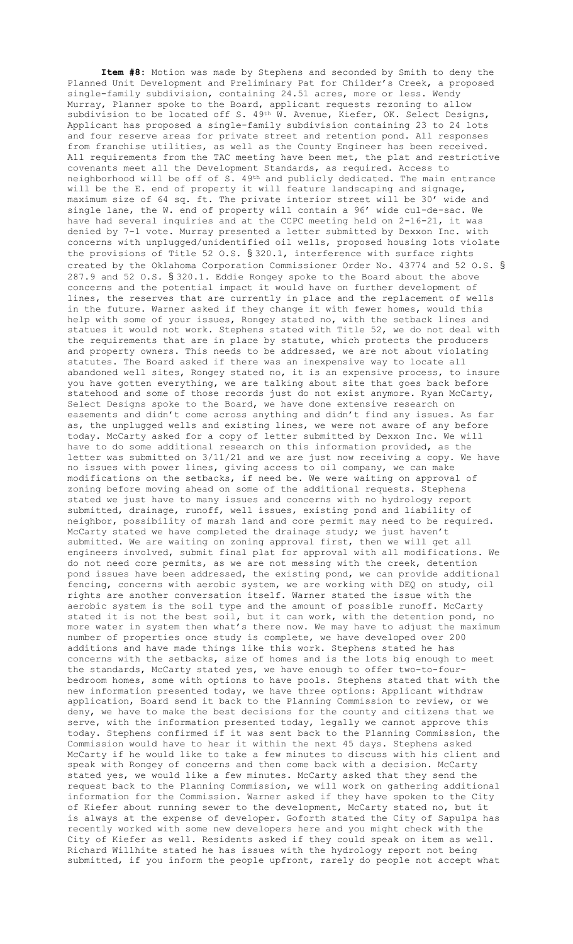**Item #8:** Motion was made by Stephens and seconded by Smith to deny the Planned Unit Development and Preliminary Pat for Childer's Creek, a proposed single-family subdivision, containing 24.51 acres, more or less. Wendy Murray, Planner spoke to the Board, applicant requests rezoning to allow subdivision to be located off S. 49th W. Avenue, Kiefer, OK. Select Designs, Applicant has proposed a single-family subdivision containing 23 to 24 lots and four reserve areas for private street and retention pond. All responses from franchise utilities, as well as the County Engineer has been received. All requirements from the TAC meeting have been met, the plat and restrictive covenants meet all the Development Standards, as required. Access to neighborhood will be off of S. 49th and publicly dedicated. The main entrance will be the E. end of property it will feature landscaping and signage, maximum size of 64 sq. ft. The private interior street will be 30' wide and single lane, the W. end of property will contain a 96' wide cul-de-sac. We have had several inquiries and at the CCPC meeting held on 2-16-21, it was denied by 7-1 vote. Murray presented a letter submitted by Dexxon Inc. with concerns with unplugged/unidentified oil wells, proposed housing lots violate the provisions of Title 52 O.S. § 320.1, interference with surface rights created by the Oklahoma Corporation Commissioner Order No. 43774 and 52 O.S. § 287.9 and 52 O.S. § 320.1. Eddie Rongey spoke to the Board about the above concerns and the potential impact it would have on further development of lines, the reserves that are currently in place and the replacement of wells in the future. Warner asked if they change it with fewer homes, would this help with some of your issues, Rongey stated no, with the setback lines and statues it would not work. Stephens stated with Title 52, we do not deal with the requirements that are in place by statute, which protects the producers and property owners. This needs to be addressed, we are not about violating statutes. The Board asked if there was an inexpensive way to locate all abandoned well sites, Rongey stated no, it is an expensive process, to insure you have gotten everything, we are talking about site that goes back before statehood and some of those records just do not exist anymore. Ryan McCarty, Select Designs spoke to the Board, we have done extensive research on easements and didn't come across anything and didn't find any issues. As far as, the unplugged wells and existing lines, we were not aware of any before today. McCarty asked for a copy of letter submitted by Dexxon Inc. We will have to do some additional research on this information provided, as the letter was submitted on 3/11/21 and we are just now receiving a copy. We have no issues with power lines, giving access to oil company, we can make modifications on the setbacks, if need be. We were waiting on approval of zoning before moving ahead on some of the additional requests. Stephens stated we just have to many issues and concerns with no hydrology report submitted, drainage, runoff, well issues, existing pond and liability of neighbor, possibility of marsh land and core permit may need to be required. McCarty stated we have completed the drainage study; we just haven't submitted. We are waiting on zoning approval first, then we will get all engineers involved, submit final plat for approval with all modifications. We do not need core permits, as we are not messing with the creek, detention pond issues have been addressed, the existing pond, we can provide additional fencing, concerns with aerobic system, we are working with DEQ on study, oil rights are another conversation itself. Warner stated the issue with the aerobic system is the soil type and the amount of possible runoff. McCarty stated it is not the best soil, but it can work, with the detention pond, no more water in system then what's there now. We may have to adjust the maximum number of properties once study is complete, we have developed over 200 additions and have made things like this work. Stephens stated he has concerns with the setbacks, size of homes and is the lots big enough to meet the standards, McCarty stated yes, we have enough to offer two-to-fourbedroom homes, some with options to have pools. Stephens stated that with the new information presented today, we have three options: Applicant withdraw application, Board send it back to the Planning Commission to review, or we deny, we have to make the best decisions for the county and citizens that we serve, with the information presented today, legally we cannot approve this today. Stephens confirmed if it was sent back to the Planning Commission, the Commission would have to hear it within the next 45 days. Stephens asked McCarty if he would like to take a few minutes to discuss with his client and speak with Rongey of concerns and then come back with a decision. McCarty stated yes, we would like a few minutes. McCarty asked that they send the request back to the Planning Commission, we will work on gathering additional information for the Commission. Warner asked if they have spoken to the City of Kiefer about running sewer to the development, McCarty stated no, but it is always at the expense of developer. Goforth stated the City of Sapulpa has recently worked with some new developers here and you might check with the City of Kiefer as well. Residents asked if they could speak on item as well. Richard Willhite stated he has issues with the hydrology report not being submitted, if you inform the people upfront, rarely do people not accept what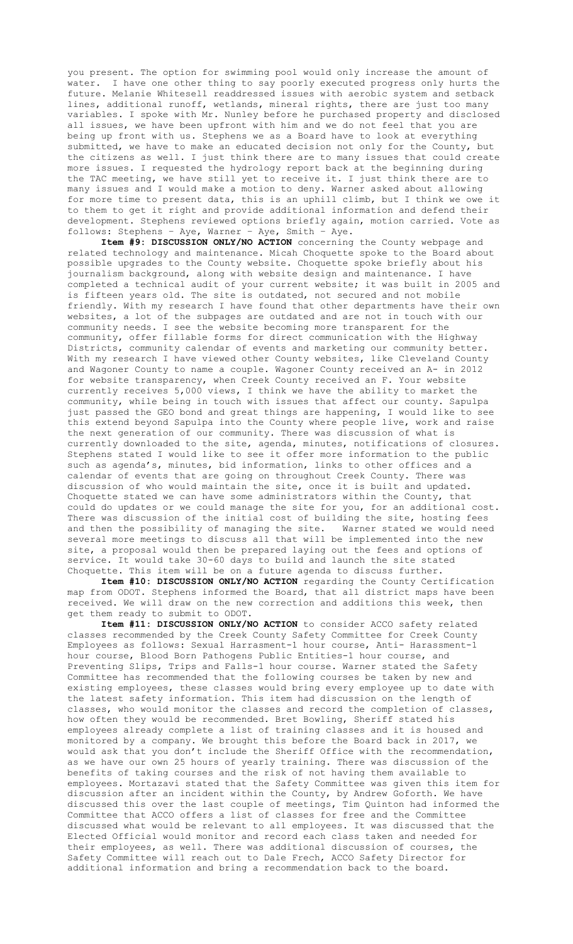you present. The option for swimming pool would only increase the amount of water. I have one other thing to say poorly executed progress only hurts the future. Melanie Whitesell readdressed issues with aerobic system and setback lines, additional runoff, wetlands, mineral rights, there are just too many variables. I spoke with Mr. Nunley before he purchased property and disclosed all issues, we have been upfront with him and we do not feel that you are being up front with us. Stephens we as a Board have to look at everything submitted, we have to make an educated decision not only for the County, but the citizens as well. I just think there are to many issues that could create more issues. I requested the hydrology report back at the beginning during the TAC meeting, we have still yet to receive it. I just think there are to many issues and I would make a motion to deny. Warner asked about allowing for more time to present data, this is an uphill climb, but I think we owe it to them to get it right and provide additional information and defend their development. Stephens reviewed options briefly again, motion carried. Vote as follows: Stephens – Aye, Warner – Aye, Smith – Aye.

**Item #9: DISCUSSION ONLY/NO ACTION** concerning the County webpage and related technology and maintenance. Micah Choquette spoke to the Board about possible upgrades to the County website. Choquette spoke briefly about his journalism background, along with website design and maintenance. I have completed a technical audit of your current website; it was built in 2005 and is fifteen years old. The site is outdated, not secured and not mobile friendly. With my research I have found that other departments have their own websites, a lot of the subpages are outdated and are not in touch with our community needs. I see the website becoming more transparent for the community, offer fillable forms for direct communication with the Highway Districts, community calendar of events and marketing our community better. With my research I have viewed other County websites, like Cleveland County and Wagoner County to name a couple. Wagoner County received an A- in 2012 for website transparency, when Creek County received an F. Your website currently receives 5,000 views, I think we have the ability to market the community, while being in touch with issues that affect our county. Sapulpa just passed the GEO bond and great things are happening, I would like to see this extend beyond Sapulpa into the County where people live, work and raise the next generation of our community. There was discussion of what is currently downloaded to the site, agenda, minutes, notifications of closures. Stephens stated I would like to see it offer more information to the public such as agenda's, minutes, bid information, links to other offices and a calendar of events that are going on throughout Creek County. There was discussion of who would maintain the site, once it is built and updated. Choquette stated we can have some administrators within the County, that could do updates or we could manage the site for you, for an additional cost. There was discussion of the initial cost of building the site, hosting fees and then the possibility of managing the site. Warner stated we would need several more meetings to discuss all that will be implemented into the new site, a proposal would then be prepared laying out the fees and options of service. It would take 30-60 days to build and launch the site stated Choquette. This item will be on a future agenda to discuss further.

**Item #10: DISCUSSION ONLY/NO ACTION** regarding the County Certification map from ODOT. Stephens informed the Board, that all district maps have been received. We will draw on the new correction and additions this week, then get them ready to submit to ODOT.

**Item #11: DISCUSSION ONLY/NO ACTION** to consider ACCO safety related classes recommended by the Creek County Safety Committee for Creek County Employees as follows: Sexual Harrasment-1 hour course, Anti- Harassment-1 hour course, Blood Born Pathogens Public Entities-1 hour course, and Preventing Slips, Trips and Falls-1 hour course. Warner stated the Safety Committee has recommended that the following courses be taken by new and existing employees, these classes would bring every employee up to date with the latest safety information. This item had discussion on the length of classes, who would monitor the classes and record the completion of classes, how often they would be recommended. Bret Bowling, Sheriff stated his employees already complete a list of training classes and it is housed and monitored by a company. We brought this before the Board back in 2017, we would ask that you don't include the Sheriff Office with the recommendation, as we have our own 25 hours of yearly training. There was discussion of the benefits of taking courses and the risk of not having them available to employees. Mortazavi stated that the Safety Committee was given this item for discussion after an incident within the County, by Andrew Goforth. We have discussed this over the last couple of meetings, Tim Quinton had informed the Committee that ACCO offers a list of classes for free and the Committee discussed what would be relevant to all employees. It was discussed that the Elected Official would monitor and record each class taken and needed for their employees, as well. There was additional discussion of courses, the Safety Committee will reach out to Dale Frech, ACCO Safety Director for additional information and bring a recommendation back to the board.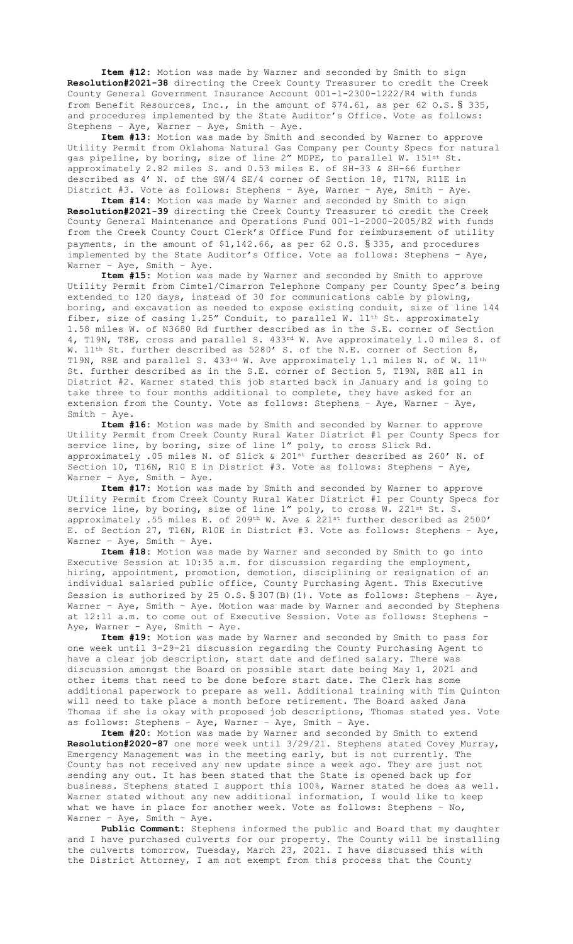**Item #12:** Motion was made by Warner and seconded by Smith to sign **Resolution#2021-38** directing the Creek County Treasurer to credit the Creek County General Government Insurance Account 001-1-2300-1222/R4 with funds from Benefit Resources, Inc., in the amount of \$74.61, as per 62 O.S. § 335, and procedures implemented by the State Auditor's Office. Vote as follows: Stephens – Aye, Warner – Aye, Smith – Aye.

**Item #13:** Motion was made by Smith and seconded by Warner to approve Utility Permit from Oklahoma Natural Gas Company per County Specs for natural gas pipeline, by boring, size of line 2" MDPE, to parallel W. 151st St. approximately 2.82 miles S. and 0.53 miles E. of SH-33 & SH-66 further described as 4' N. of the SW/4 SE/4 corner of Section 18, T17N, R11E in District #3. Vote as follows: Stephens – Aye, Warner – Aye, Smith – Aye.

**Item #14:** Motion was made by Warner and seconded by Smith to sign **Resolution#2021-39** directing the Creek County Treasurer to credit the Creek County General Maintenance and Operations Fund 001-1-2000-2005/R2 with funds from the Creek County Court Clerk's Office Fund for reimbursement of utility payments, in the amount of \$1,142.66, as per 62 O.S. § 335, and procedures implemented by the State Auditor's Office. Vote as follows: Stephens – Aye, Warner – Aye, Smith – Aye.

**Item #15:** Motion was made by Warner and seconded by Smith to approve Utility Permit from Cimtel/Cimarron Telephone Company per County Spec's being extended to 120 days, instead of 30 for communications cable by plowing, boring, and excavation as needed to expose existing conduit, size of line 144 fiber, size of casing 1.25" Conduit, to parallel W. 11th St. approximately 1.58 miles W. of N3680 Rd further described as in the S.E. corner of Section 4, T19N, T8E, cross and parallel S. 433rd W. Ave approximately 1.0 miles S. of W. 11<sup>th</sup> St. further described as 5280' S. of the N.E. corner of Section 8, T19N, R8E and parallel S. 433rd W. Ave approximately 1.1 miles N. of W. 11th St. further described as in the S.E. corner of Section 5, T19N, R8E all in District #2. Warner stated this job started back in January and is going to take three to four months additional to complete, they have asked for an extension from the County. Vote as follows: Stephens – Aye, Warner – Aye, Smith – Aye.

**Item #16:** Motion was made by Smith and seconded by Warner to approve Utility Permit from Creek County Rural Water District #1 per County Specs for service line, by boring, size of line 1" poly, to cross Slick Rd. approximately .05 miles N. of Slick & 201st further described as 260' N. of Section 10, T16N, R10 E in District #3. Vote as follows: Stephens – Aye, Warner – Aye, Smith – Aye.

**Item #17:** Motion was made by Smith and seconded by Warner to approve Utility Permit from Creek County Rural Water District #1 per County Specs for service line, by boring, size of line  $1''$  poly, to cross W. 221st St. S. approximately .55 miles E. of 209th W. Ave & 221st further described as 2500' E. of Section 27, T16N, R10E in District #3. Vote as follows: Stephens – Aye, Warner – Aye, Smith – Aye.

**Item #18:** Motion was made by Warner and seconded by Smith to go into Executive Session at 10:35 a.m. for discussion regarding the employment, hiring, appointment, promotion, demotion, disciplining or resignation of an individual salaried public office, County Purchasing Agent. This Executive Session is authorized by 25 O.S.  $\S$  307(B)(1). Vote as follows: Stephens - Aye, Warner – Aye, Smith – Aye. Motion was made by Warner and seconded by Stephens at 12:11 a.m. to come out of Executive Session. Vote as follows: Stephens – Aye, Warner – Aye, Smith – Aye.

**Item #19:** Motion was made by Warner and seconded by Smith to pass for one week until 3-29-21 discussion regarding the County Purchasing Agent to have a clear job description, start date and defined salary. There was discussion amongst the Board on possible start date being May 1, 2021 and other items that need to be done before start date. The Clerk has some additional paperwork to prepare as well. Additional training with Tim Quinton will need to take place a month before retirement. The Board asked Jana Thomas if she is okay with proposed job descriptions, Thomas stated yes. Vote as follows: Stephens – Aye, Warner – Aye, Smith – Aye.

**Item #20:** Motion was made by Warner and seconded by Smith to extend **Resolution#2020-87** one more week until 3/29/21. Stephens stated Covey Murray, Emergency Management was in the meeting early, but is not currently. The County has not received any new update since a week ago. They are just not sending any out. It has been stated that the State is opened back up for business. Stephens stated I support this 100%, Warner stated he does as well. Warner stated without any new additional information, I would like to keep what we have in place for another week. Vote as follows: Stephens – No, Warner – Aye, Smith – Aye.

**Public Comment:** Stephens informed the public and Board that my daughter and I have purchased culverts for our property. The County will be installing the culverts tomorrow, Tuesday, March 23, 2021. I have discussed this with the District Attorney, I am not exempt from this process that the County